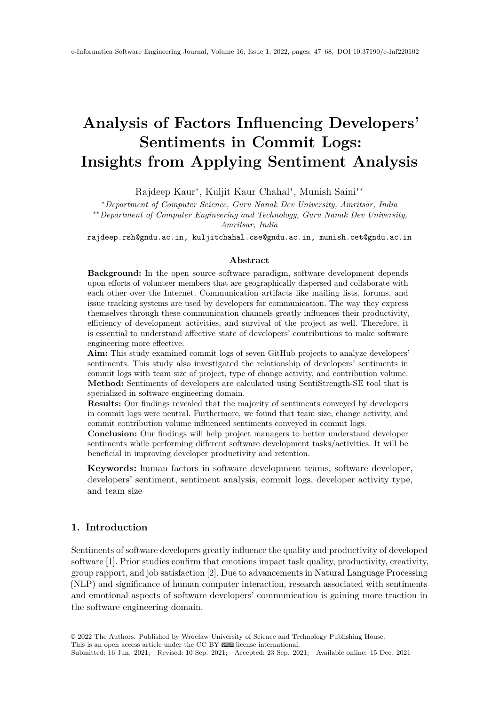# <span id="page-0-0"></span>**Analysis of Factors Influencing Developers' Sentiments in Commit Logs: Insights from Applying Sentiment Analysis**

Rajdeep Kaur<sup>∗</sup> , Kuljit Kaur Chahal<sup>∗</sup> , Munish Saini∗∗

<sup>∗</sup>*Department of Computer Science, Guru Nanak Dev University, Amritsar, India*

∗∗*Department of Computer Engineering and Technology, Guru Nanak Dev University,*

*Amritsar, India*

rajdeep.rsh@gndu.ac.in, kuljitchahal.cse@gndu.ac.in, munish.cet@gndu.ac.in

#### **Abstract**

**Background:** In the open source software paradigm, software development depends upon efforts of volunteer members that are geographically dispersed and collaborate with each other over the Internet. Communication artifacts like mailing lists, forums, and issue tracking systems are used by developers for communication. The way they express themselves through these communication channels greatly influences their productivity, efficiency of development activities, and survival of the project as well. Therefore, it is essential to understand affective state of developers' contributions to make software engineering more effective.

**Aim:** This study examined commit logs of seven GitHub projects to analyze developers' sentiments. This study also investigated the relationship of developers' sentiments in commit logs with team size of project, type of change activity, and contribution volume. **Method:** Sentiments of developers are calculated using SentiStrength-SE tool that is specialized in software engineering domain.

**Results:** Our findings revealed that the majority of sentiments conveyed by developers in commit logs were neutral. Furthermore, we found that team size, change activity, and commit contribution volume influenced sentiments conveyed in commit logs.

**Conclusion:** Our findings will help project managers to better understand developer sentiments while performing different software development tasks/activities. It will be beneficial in improving developer productivity and retention.

**Keywords:** human factors in software development teams, software developer, developers' sentiment, sentiment analysis, commit logs, developer activity type, and team size

### <span id="page-0-1"></span>**1. Introduction**

Sentiments of software developers greatly influence the quality and productivity of developed software [\[1\]](#page-19-0). Prior studies confirm that emotions impact task quality, productivity, creativity, group rapport, and job satisfaction [\[2\]](#page-19-1). Due to advancements in Natural Language Processing (NLP) and significance of human computer interaction, research associated with sentiments and emotional aspects of software developers' communication is gaining more traction in the software engineering domain.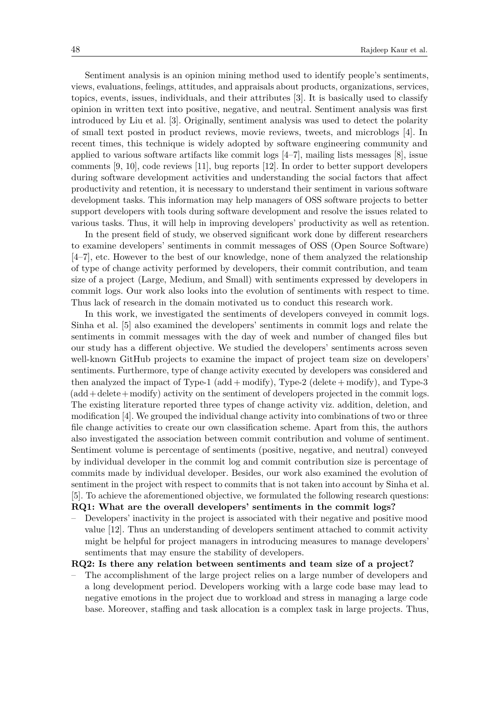Sentiment analysis is an opinion mining method used to identify people's sentiments, views, evaluations, feelings, attitudes, and appraisals about products, organizations, services, topics, events, issues, individuals, and their attributes [\[3\]](#page-19-2). It is basically used to classify opinion in written text into positive, negative, and neutral. Sentiment analysis was first introduced by Liu et al. [\[3\]](#page-19-2). Originally, sentiment analysis was used to detect the polarity of small text posted in product reviews, movie reviews, tweets, and microblogs [\[4\]](#page-19-3). In recent times, this technique is widely adopted by software engineering community and applied to various software artifacts like commit logs  $[4-7]$  $[4-7]$ , mailing lists messages  $[8]$ , issue comments [\[9,](#page-20-0) [10\]](#page-20-1), code reviews [\[11\]](#page-20-2), bug reports [\[12\]](#page-20-3). In order to better support developers during software development activities and understanding the social factors that affect productivity and retention, it is necessary to understand their sentiment in various software development tasks. This information may help managers of OSS software projects to better support developers with tools during software development and resolve the issues related to various tasks. Thus, it will help in improving developers' productivity as well as retention.

In the present field of study, we observed significant work done by different researchers to examine developers' sentiments in commit messages of OSS (Open Source Software) [\[4–](#page-19-3)[7\]](#page-19-4), etc. However to the best of our knowledge, none of them analyzed the relationship of type of change activity performed by developers, their commit contribution, and team size of a project (Large, Medium, and Small) with sentiments expressed by developers in commit logs. Our work also looks into the evolution of sentiments with respect to time. Thus lack of research in the domain motivated us to conduct this research work.

In this work, we investigated the sentiments of developers conveyed in commit logs. Sinha et al. [\[5\]](#page-19-6) also examined the developers' sentiments in commit logs and relate the sentiments in commit messages with the day of week and number of changed files but our study has a different objective. We studied the developers' sentiments across seven well-known GitHub projects to examine the impact of project team size on developers' sentiments. Furthermore, type of change activity executed by developers was considered and then analyzed the impact of Type-1 (add + modify), Type-2 (delete + modify), and Type-3 (add+delete+modify) activity on the sentiment of developers projected in the commit logs. The existing literature reported three types of change activity viz. addition, deletion, and modification [\[4\]](#page-19-3). We grouped the individual change activity into combinations of two or three file change activities to create our own classification scheme. Apart from this, the authors also investigated the association between commit contribution and volume of sentiment. Sentiment volume is percentage of sentiments (positive, negative, and neutral) conveyed by individual developer in the commit log and commit contribution size is percentage of commits made by individual developer. Besides, our work also examined the evolution of sentiment in the project with respect to commits that is not taken into account by Sinha et al. [\[5\]](#page-19-6). To achieve the aforementioned objective, we formulated the following research questions: **RQ1: What are the overall developers' sentiments in the commit logs?**

– Developers' inactivity in the project is associated with their negative and positive mood value [\[12\]](#page-20-3). Thus an understanding of developers sentiment attached to commit activity might be helpful for project managers in introducing measures to manage developers' sentiments that may ensure the stability of developers.

#### **RQ2: Is there any relation between sentiments and team size of a project?**

– The accomplishment of the large project relies on a large number of developers and a long development period. Developers working with a large code base may lead to negative emotions in the project due to workload and stress in managing a large code base. Moreover, staffing and task allocation is a complex task in large projects. Thus,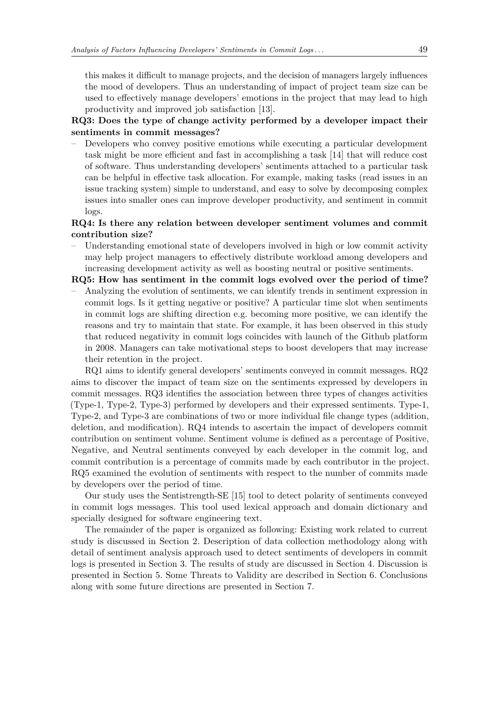this makes it difficult to manage projects, and the decision of managers largely influences the mood of developers. Thus an understanding of impact of project team size can be used to effectively manage developers' emotions in the project that may lead to high productivity and improved job satisfaction [\[13\]](#page-20-4).

# **RQ3: Does the type of change activity performed by a developer impact their sentiments in commit messages?**

– Developers who convey positive emotions while executing a particular development task might be more efficient and fast in accomplishing a task [\[14\]](#page-20-5) that will reduce cost of software. Thus understanding developers' sentiments attached to a particular task can be helpful in effective task allocation. For example, making tasks (read issues in an issue tracking system) simple to understand, and easy to solve by decomposing complex issues into smaller ones can improve developer productivity, and sentiment in commit logs.

# **RQ4: Is there any relation between developer sentiment volumes and commit contribution size?**

– Understanding emotional state of developers involved in high or low commit activity may help project managers to effectively distribute workload among developers and increasing development activity as well as boosting neutral or positive sentiments.

**RQ5: How has sentiment in the commit logs evolved over the period of time?**

– Analyzing the evolution of sentiments, we can identify trends in sentiment expression in commit logs. Is it getting negative or positive? A particular time slot when sentiments in commit logs are shifting direction e.g. becoming more positive, we can identify the reasons and try to maintain that state. For example, it has been observed in this study that reduced negativity in commit logs coincides with launch of the Github platform in 2008. Managers can take motivational steps to boost developers that may increase their retention in the project.

RQ1 aims to identify general developers' sentiments conveyed in commit messages. RQ2 aims to discover the impact of team size on the sentiments expressed by developers in commit messages. RQ3 identifies the association between three types of changes activities (Type-1, Type-2, Type-3) performed by developers and their expressed sentiments. Type-1, Type-2, and Type-3 are combinations of two or more individual file change types (addition, deletion, and modification). RQ4 intends to ascertain the impact of developers commit contribution on sentiment volume. Sentiment volume is defined as a percentage of Positive, Negative, and Neutral sentiments conveyed by each developer in the commit log, and commit contribution is a percentage of commits made by each contributor in the project. RQ5 examined the evolution of sentiments with respect to the number of commits made by developers over the period of time.

Our study uses the Sentistrength-SE [\[15\]](#page-20-6) tool to detect polarity of sentiments conveyed in commit logs messages. This tool used lexical approach and domain dictionary and specially designed for software engineering text.

The remainder of the paper is organized as following: Existing work related to current study is discussed in Section [2.](#page-3-0) Description of data collection methodology along with detail of sentiment analysis approach used to detect sentiments of developers in commit logs is presented in Section [3.](#page-5-0) The results of study are discussed in Section [4.](#page-7-0) Discussion is presented in Section [5.](#page-17-0) Some Threats to Validity are described in Section [6.](#page-18-0) Conclusions along with some future directions are presented in Section [7.](#page-18-1)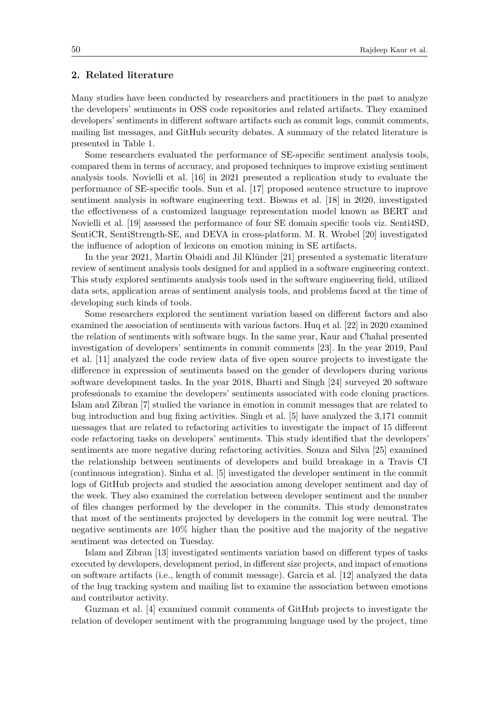## <span id="page-3-0"></span>**2. Related literature**

Many studies have been conducted by researchers and practitioners in the past to analyze the developers' sentiments in OSS code repositories and related artifacts. They examined developers' sentiments in different software artifacts such as commit logs, commit comments, mailing list messages, and GitHub security debates. A summary of the related literature is presented in Table [1.](#page-4-0)

Some researchers evaluated the performance of SE-specific sentiment analysis tools, compared them in terms of accuracy, and proposed techniques to improve existing sentiment analysis tools. Novielli et al. [\[16\]](#page-20-7) in 2021 presented a replication study to evaluate the performance of SE-specific tools. Sun et al. [\[17\]](#page-20-8) proposed sentence structure to improve sentiment analysis in software engineering text. Biswas et al. [\[18\]](#page-20-9) in 2020, investigated the effectiveness of a customized language representation model known as BERT and Novielli et al. [\[19\]](#page-20-10) assessed the performance of four SE domain specific tools viz. Senti4SD, SentiCR, SentiStrength-SE, and DEVA in cross-platform. M. R. Wrobel [\[20\]](#page-20-11) investigated the influence of adoption of lexicons on emotion mining in SE artifacts.

In the year 2021, Martin Obaidi and Jil Klünder [\[21\]](#page-20-12) presented a systematic literature review of sentiment analysis tools designed for and applied in a software engineering context. This study explored sentiments analysis tools used in the software engineering field, utilized data sets, application areas of sentiment analysis tools, and problems faced at the time of developing such kinds of tools.

Some researchers explored the sentiment variation based on different factors and also examined the association of sentiments with various factors. Huq et al. [\[22\]](#page-20-13) in 2020 examined the relation of sentiments with software bugs. In the same year, Kaur and Chahal presented investigation of developers' sentiments in commit comments [\[23\]](#page-20-14). In the year 2019, Paul et al. [\[11\]](#page-20-2) analyzed the code review data of five open source projects to investigate the difference in expression of sentiments based on the gender of developers during various software development tasks. In the year 2018, Bharti and Singh [\[24\]](#page-20-15) surveyed 20 software professionals to examine the developers' sentiments associated with code cloning practices. Islam and Zibran [7] studied the variance in emotion in commit messages that are related to bug introduction and bug fixing activities. Singh et al. [\[5\]](#page-19-6) have analyzed the 3,171 commit messages that are related to refactoring activities to investigate the impact of 15 different code refactoring tasks on developers' sentiments. This study identified that the developers' sentiments are more negative during refactoring activities. Souza and Silva [\[25\]](#page-20-16) examined the relationship between sentiments of developers and build breakage in a Travis CI (continuous integration). Sinha et al. [\[5\]](#page-19-6) investigated the developer sentiment in the commit logs of GitHub projects and studied the association among developer sentiment and day of the week. They also examined the correlation between developer sentiment and the number of files changes performed by the developer in the commits. This study demonstrates that most of the sentiments projected by developers in the commit log were neutral. The negative sentiments are 10% higher than the positive and the majority of the negative sentiment was detected on Tuesday.

Islam and Zibran [\[13\]](#page-20-4) investigated sentiments variation based on different types of tasks executed by developers, development period, in different size projects, and impact of emotions on software artifacts (i.e., length of commit message). Garcia et al. [\[12\]](#page-20-3) analyzed the data of the bug tracking system and mailing list to examine the association between emotions and contributor activity.

Guzman et al. [\[4\]](#page-19-3) examined commit comments of GitHub projects to investigate the relation of developer sentiment with the programming language used by the project, time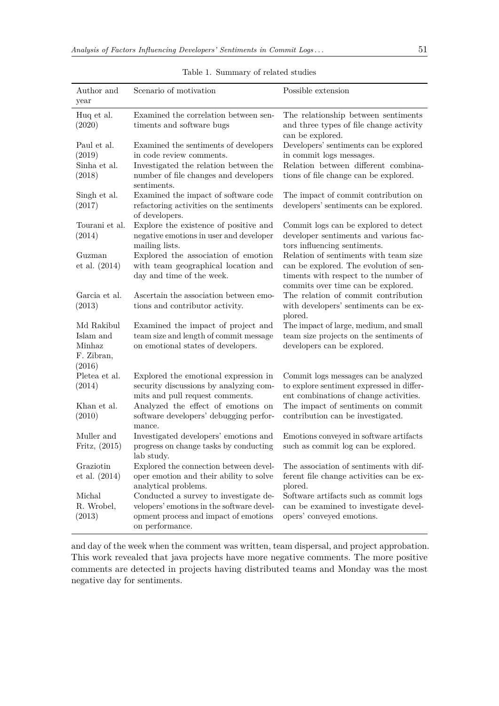| Author and      | Scenario of motivation                                     | Possible extension                                                          |
|-----------------|------------------------------------------------------------|-----------------------------------------------------------------------------|
| year            |                                                            |                                                                             |
| Huq et al.      | Examined the correlation between sen-                      | The relationship between sentiments                                         |
| (2020)          | timents and software bugs                                  | and three types of file change activity<br>can be explored.                 |
| Paul et al.     | Examined the sentiments of developers                      | Developers' sentiments can be explored                                      |
| (2019)          | in code review comments.                                   | in commit logs messages.                                                    |
| Sinha et al.    | Investigated the relation between the                      | Relation between different combina-                                         |
| (2018)          | number of file changes and developers<br>sentiments.       | tions of file change can be explored.                                       |
| Singh et al.    | Examined the impact of software code                       | The impact of commit contribution on                                        |
| (2017)          | refactoring activities on the sentiments<br>of developers. | developers' sentiments can be explored.                                     |
| Tourani et al.  | Explore the existence of positive and                      | Commit logs can be explored to detect                                       |
| (2014)          | negative emotions in user and developer<br>mailing lists.  | developer sentiments and various fac-<br>tors influencing sentiments.       |
| Guzman          | Explored the association of emotion                        | Relation of sentiments with team size                                       |
| et al. $(2014)$ | with team geographical location and                        | can be explored. The evolution of sen-                                      |
|                 | day and time of the week.                                  | timents with respect to the number of<br>commits over time can be explored. |
| Garcia et al.   | Ascertain the association between emo-                     | The relation of commit contribution                                         |
| (2013)          | tions and contributor activity.                            | with developers' sentiments can be ex-<br>plored.                           |
| Md Rakibul      | Examined the impact of project and                         | The impact of large, medium, and small                                      |
| Islam and       | team size and length of commit message                     | team size projects on the sentiments of                                     |
| Minhaz          | on emotional states of developers.                         | developers can be explored.                                                 |
| F. Zibran,      |                                                            |                                                                             |
| (2016)          |                                                            |                                                                             |
| Pletea et al.   | Explored the emotional expression in                       | Commit logs messages can be analyzed                                        |
| (2014)          | security discussions by analyzing com-                     | to explore sentiment expressed in differ-                                   |
|                 | mits and pull request comments.                            | ent combinations of change activities.                                      |
| Khan et al.     | Analyzed the effect of emotions on                         | The impact of sentiments on commit                                          |
| (2010)          | software developers' debugging perfor-<br>mance.           | contribution can be investigated.                                           |
| Muller and      | Investigated developers' emotions and                      | Emotions conveyed in software artifacts                                     |
| Fritz, $(2015)$ | progress on change tasks by conducting<br>lab study.       | such as commit log can be explored.                                         |
| Graziotin       | Explored the connection between devel-                     | The association of sentiments with dif-                                     |
| et al. (2014)   | oper emotion and their ability to solve                    | ferent file change activities can be ex-                                    |
|                 | analytical problems.                                       | plored.                                                                     |
| Michal          | Conducted a survey to investigate de-                      | Software artifacts such as commit logs                                      |
| R. Wrobel,      | velopers' emotions in the software devel-                  | can be examined to investigate devel-                                       |
| (2013)          | opment process and impact of emotions                      | opers' conveyed emotions.                                                   |
|                 | on performance.                                            |                                                                             |

<span id="page-4-0"></span>Table 1. Summary of related studies

and day of the week when the comment was written, team dispersal, and project approbation. This work revealed that java projects have more negative comments. The more positive comments are detected in projects having distributed teams and Monday was the most negative day for sentiments.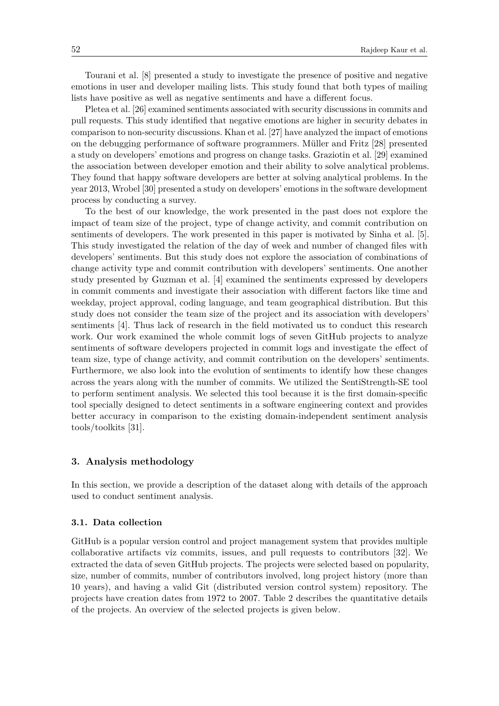Tourani et al. [\[8\]](#page-19-5) presented a study to investigate the presence of positive and negative emotions in user and developer mailing lists. This study found that both types of mailing lists have positive as well as negative sentiments and have a different focus.

Pletea et al. [\[26\]](#page-20-17) examined sentiments associated with security discussions in commits and pull requests. This study identified that negative emotions are higher in security debates in comparison to non-security discussions. Khan et al. [\[27\]](#page-20-18) have analyzed the impact of emotions on the debugging performance of software programmers. Müller and Fritz [\[28\]](#page-21-1) presented a study on developers' emotions and progress on change tasks. Graziotin et al. [\[29\]](#page-21-2) examined the association between developer emotion and their ability to solve analytical problems. They found that happy software developers are better at solving analytical problems. In the year 2013, Wrobel [\[30\]](#page-21-3) presented a study on developers' emotions in the software development process by conducting a survey.

To the best of our knowledge, the work presented in the past does not explore the impact of team size of the project, type of change activity, and commit contribution on sentiments of developers. The work presented in this paper is motivated by Sinha et al. [\[5\]](#page-19-6). This study investigated the relation of the day of week and number of changed files with developers' sentiments. But this study does not explore the association of combinations of change activity type and commit contribution with developers' sentiments. One another study presented by Guzman et al. [\[4\]](#page-19-3) examined the sentiments expressed by developers in commit comments and investigate their association with different factors like time and weekday, project approval, coding language, and team geographical distribution. But this study does not consider the team size of the project and its association with developers' sentiments [\[4\]](#page-19-3). Thus lack of research in the field motivated us to conduct this research work. Our work examined the whole commit logs of seven GitHub projects to analyze sentiments of software developers projected in commit logs and investigate the effect of team size, type of change activity, and commit contribution on the developers' sentiments. Furthermore, we also look into the evolution of sentiments to identify how these changes across the years along with the number of commits. We utilized the SentiStrength-SE tool to perform sentiment analysis. We selected this tool because it is the first domain-specific tool specially designed to detect sentiments in a software engineering context and provides better accuracy in comparison to the existing domain-independent sentiment analysis tools/toolkits [\[31\]](#page-21-4).

#### <span id="page-5-0"></span>**3. Analysis methodology**

In this section, we provide a description of the dataset along with details of the approach used to conduct sentiment analysis.

#### **3.1. Data collection**

GitHub is a popular version control and project management system that provides multiple collaborative artifacts viz commits, issues, and pull requests to contributors [\[32\]](#page-21-5). We extracted the data of seven GitHub projects. The projects were selected based on popularity, size, number of commits, number of contributors involved, long project history (more than 10 years), and having a valid Git (distributed version control system) repository. The projects have creation dates from 1972 to 2007. Table [2](#page-6-0) describes the quantitative details of the projects. An overview of the selected projects is given below.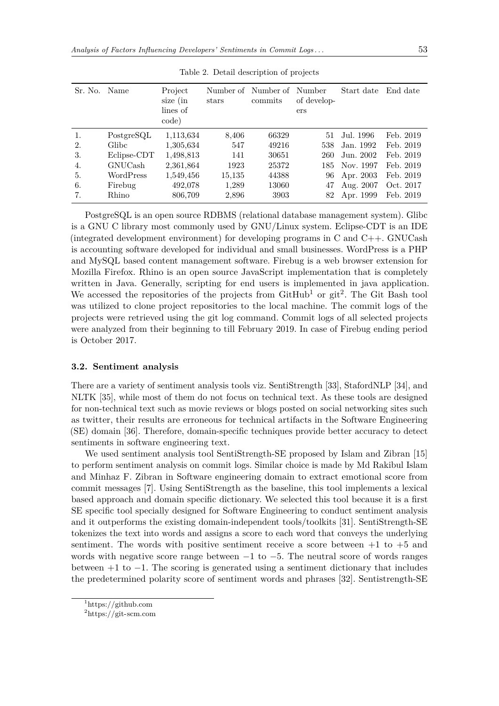| Sr. No. Name |                         | Project<br>size (in<br>lines of<br>code) | Number of<br>stars | Number of<br>commits | Number<br>of develop-<br>ers | Start date | End date  |
|--------------|-------------------------|------------------------------------------|--------------------|----------------------|------------------------------|------------|-----------|
| 1.           | Post <sub>gr</sub> esQL | 1,113,634                                | 8,406              | 66329                | 51                           | Jul. 1996  | Feb. 2019 |
| 2.           | Glibc                   | 1,305,634                                | 547                | 49216                | 538                          | Jan. 1992  | Feb. 2019 |
| 3.           | Eclipse-CDT             | 1,498,813                                | 141                | 30651                | 260                          | Jun. 2002  | Feb. 2019 |
| 4.           | GNUCash                 | 2,361,864                                | 1923               | 25372                | 185                          | Nov. 1997  | Feb. 2019 |
| 5.           | WordPress               | 1,549,456                                | 15,135             | 44388                | 96                           | Apr. 2003  | Feb. 2019 |
| 6.           | Firebug                 | 492,078                                  | 1,289              | 13060                | 47                           | Aug. 2007  | Oct. 2017 |
| 7.           | Rhino                   | 806,709                                  | 2,896              | 3903                 | 82                           | Apr. 1999  | Feb. 2019 |

<span id="page-6-0"></span>Table 2. Detail description of projects

PostgreSQL is an open source RDBMS (relational database management system). Glibc is a GNU C library most commonly used by GNU/Linux system. Eclipse-CDT is an IDE (integrated development environment) for developing programs in C and C++. GNUCash is accounting software developed for individual and small businesses. WordPress is a PHP and MySQL based content management software. Firebug is a web browser extension for Mozilla Firefox. Rhino is an open source JavaScript implementation that is completely written in Java. Generally, scripting for end users is implemented in java application. We accessed the repositories of the projects from  $G$ it $H$ ub<sup>[1](#page-6-1)</sup> or git<sup>[2](#page-6-2)</sup>. The Git Bash tool was utilized to clone project repositories to the local machine. The commit logs of the projects were retrieved using the git log command. Commit logs of all selected projects were analyzed from their beginning to till February 2019. In case of Firebug ending period is October 2017.

#### **3.2. Sentiment analysis**

There are a variety of sentiment analysis tools viz. SentiStrength [\[33\]](#page-21-6), StafordNLP [\[34\]](#page-21-7), and NLTK [\[35\]](#page-21-8), while most of them do not focus on technical text. As these tools are designed for non-technical text such as movie reviews or blogs posted on social networking sites such as twitter, their results are erroneous for technical artifacts in the Software Engineering (SE) domain [\[36\]](#page-21-9). Therefore, domain-specific techniques provide better accuracy to detect sentiments in software engineering text.

We used sentiment analysis tool SentiStrength-SE proposed by Islam and Zibran [\[15\]](#page-20-6) to perform sentiment analysis on commit logs. Similar choice is made by Md Rakibul Islam and Minhaz F. Zibran in Software engineering domain to extract emotional score from commit messages [\[7\]](#page-19-4). Using SentiStrength as the baseline, this tool implements a lexical based approach and domain specific dictionary. We selected this tool because it is a first SE specific tool specially designed for Software Engineering to conduct sentiment analysis and it outperforms the existing domain-independent tools/toolkits [\[31\]](#page-21-4). SentiStrength-SE tokenizes the text into words and assigns a score to each word that conveys the underlying sentiment. The words with positive sentiment receive a score between  $+1$  to  $+5$  and words with negative score range between  $-1$  to  $-5$ . The neutral score of words ranges between +1 to −1. The scoring is generated using a sentiment dictionary that includes the predetermined polarity score of sentiment words and phrases [\[32\]](#page-21-5). Sentistrength-SE

<span id="page-6-1"></span> $\frac{1}{1}$ <https://github.com>

<span id="page-6-2"></span><sup>2</sup><https://git-scm.com>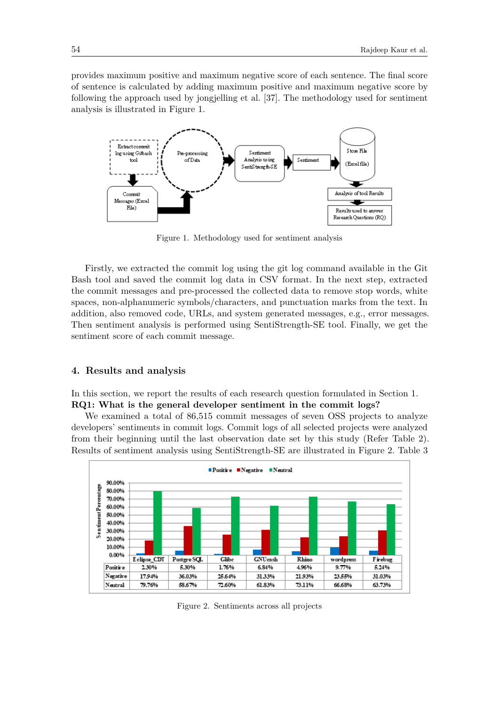provides maximum positive and maximum negative score of each sentence. The final score of sentence is calculated by adding maximum positive and maximum negative score by following the approach used by jongjelling et al. [\[37\]](#page-21-10). The methodology used for sentiment analysis is illustrated in Figure [1.](#page-7-1)



<span id="page-7-1"></span>Figure 1. Methodology used for sentiment analysis

Firstly, we extracted the commit log using the git log command available in the Git Bash tool and saved the commit log data in CSV format. In the next step, extracted the commit messages and pre-processed the collected data to remove stop words, white spaces, non-alphanumeric symbols/characters, and punctuation marks from the text. In addition, also removed code, URLs, and system generated messages, e.g., error messages. Then sentiment analysis is performed using SentiStrength-SE tool. Finally, we get the sentiment score of each commit message.

#### <span id="page-7-0"></span>**4. Results and analysis**

In this section, we report the results of each research question formulated in Section [1.](#page-0-1) **RQ1: What is the general developer sentiment in the commit logs?**

We examined a total of 86,515 commit messages of seven OSS projects to analyze developers' sentiments in commit logs. Commit logs of all selected projects were analyzed from their beginning until the last observation date set by this study (Refer Table [2\)](#page-6-0). Results of sentiment analysis using SentiStrength-SE are illustrated in Figure [2.](#page-7-2) Table [3](#page-8-0)



<span id="page-7-2"></span>Figure 2. Sentiments across all projects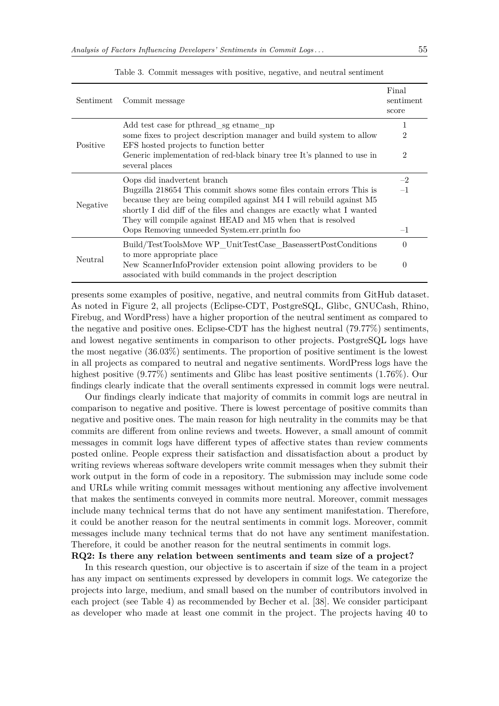| Sentiment | Commit message                                                                                                                                             | Final<br>sentiment<br>score |
|-----------|------------------------------------------------------------------------------------------------------------------------------------------------------------|-----------------------------|
|           | Add test case for pthread_sg etname_np                                                                                                                     | 1                           |
| Positive  | some fixes to project description manager and build system to allow<br>EFS hosted projects to function better                                              | $\overline{2}$              |
|           | Generic implementation of red-black binary tree It's planned to use in<br>several places                                                                   | $\overline{2}$              |
|           | Oops did inadvertent branch                                                                                                                                | $-2$                        |
| Negative  | Bugzilla 218654 This commit shows some files contain errors This is                                                                                        | $-1$                        |
|           | because they are being compiled against M4 I will rebuild against M5                                                                                       |                             |
|           | shortly I did diff of the files and changes are exactly what I wanted<br>They will compile against HEAD and M5 when that is resolved                       |                             |
|           | Oops Removing unneeded System.err.println foo                                                                                                              | $-1$                        |
|           | Build/TestToolsMove WP_UnitTestCase_BaseassertPostConditions                                                                                               | $\theta$                    |
| Neutral   | to more appropriate place<br>New ScannerInfoProvider extension point allowing providers to be<br>associated with build commands in the project description | $\theta$                    |

<span id="page-8-0"></span>Table 3. Commit messages with positive, negative, and neutral sentiment

presents some examples of positive, negative, and neutral commits from GitHub dataset. As noted in Figure [2,](#page-7-2) all projects (Eclipse-CDT, PostgreSQL, Glibc, GNUCash, Rhino, Firebug, and WordPress) have a higher proportion of the neutral sentiment as compared to the negative and positive ones. Eclipse-CDT has the highest neutral (79.77%) sentiments, and lowest negative sentiments in comparison to other projects. PostgreSQL logs have the most negative (36.03%) sentiments. The proportion of positive sentiment is the lowest in all projects as compared to neutral and negative sentiments. WordPress logs have the highest positive  $(9.77\%)$  sentiments and Glibc has least positive sentiments  $(1.76\%)$ . Our findings clearly indicate that the overall sentiments expressed in commit logs were neutral.

Our findings clearly indicate that majority of commits in commit logs are neutral in comparison to negative and positive. There is lowest percentage of positive commits than negative and positive ones. The main reason for high neutrality in the commits may be that commits are different from online reviews and tweets. However, a small amount of commit messages in commit logs have different types of affective states than review comments posted online. People express their satisfaction and dissatisfaction about a product by writing reviews whereas software developers write commit messages when they submit their work output in the form of code in a repository. The submission may include some code and URLs while writing commit messages without mentioning any affective involvement that makes the sentiments conveyed in commits more neutral. Moreover, commit messages include many technical terms that do not have any sentiment manifestation. Therefore, it could be another reason for the neutral sentiments in commit logs. Moreover, commit messages include many technical terms that do not have any sentiment manifestation. Therefore, it could be another reason for the neutral sentiments in commit logs.

### **RQ2: Is there any relation between sentiments and team size of a project?**

In this research question, our objective is to ascertain if size of the team in a project has any impact on sentiments expressed by developers in commit logs. We categorize the projects into large, medium, and small based on the number of contributors involved in each project (see Table [4\)](#page-9-0) as recommended by Becher et al. [\[38\]](#page-21-11). We consider participant as developer who made at least one commit in the project. The projects having 40 to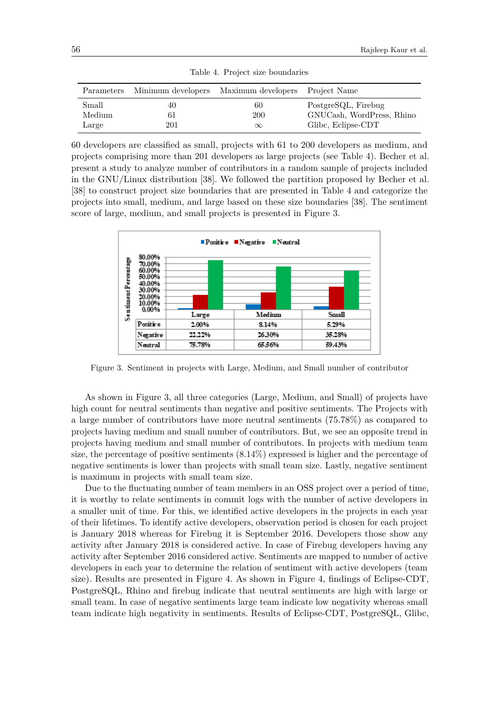| Parameters | Minimum developers | Maximum developers Project Name |                           |
|------------|--------------------|---------------------------------|---------------------------|
| Small      | 40                 | 60                              | PostgreSQL, Firebug       |
| Medium     | 61                 | 200                             | GNUCash, WordPress, Rhino |
| Large      | 201                | $\infty$                        | Glibc, Eclipse-CDT        |

<span id="page-9-0"></span>Table 4. Project size boundaries

60 developers are classified as small, projects with 61 to 200 developers as medium, and projects comprising more than 201 developers as large projects (see Table 4). Becher et al. present a study to analyze number of contributors in a random sample of projects included in the GNU/Linux distribution [\[38\]](#page-21-11). We followed the partition proposed by Becher et al. [\[38\]](#page-21-11) to construct project size boundaries that are presented in Table 4 and categorize the projects into small, medium, and large based on these size boundaries [\[38\]](#page-21-11). The sentiment score of large, medium, and small projects is presented in Figure [3.](#page-9-1)



<span id="page-9-1"></span>Figure 3. Sentiment in projects with Large, Medium, and Small number of contributor

As shown in Figure [3,](#page-9-1) all three categories (Large, Medium, and Small) of projects have high count for neutral sentiments than negative and positive sentiments. The Projects with a large number of contributors have more neutral sentiments (75.78%) as compared to projects having medium and small number of contributors. But, we see an opposite trend in projects having medium and small number of contributors. In projects with medium team size, the percentage of positive sentiments (8.14%) expressed is higher and the percentage of negative sentiments is lower than projects with small team size. Lastly, negative sentiment is maximum in projects with small team size.

Due to the fluctuating number of team members in an OSS project over a period of time, it is worthy to relate sentiments in commit logs with the number of active developers in a smaller unit of time. For this, we identified active developers in the projects in each year of their lifetimes. To identify active developers, observation period is chosen for each project is January 2018 whereas for Firebug it is September 2016. Developers those show any activity after January 2018 is considered active. In case of Firebug developers having any activity after September 2016 considered active. Sentiments are mapped to number of active developers in each year to determine the relation of sentiment with active developers (team size). Results are presented in Figure [4.](#page-10-0) As shown in Figure [4,](#page-10-0) findings of Eclipse-CDT, PostgreSQL, Rhino and firebug indicate that neutral sentiments are high with large or small team. In case of negative sentiments large team indicate low negativity whereas small team indicate high negativity in sentiments. Results of Eclipse-CDT, PostgreSQL, Glibc,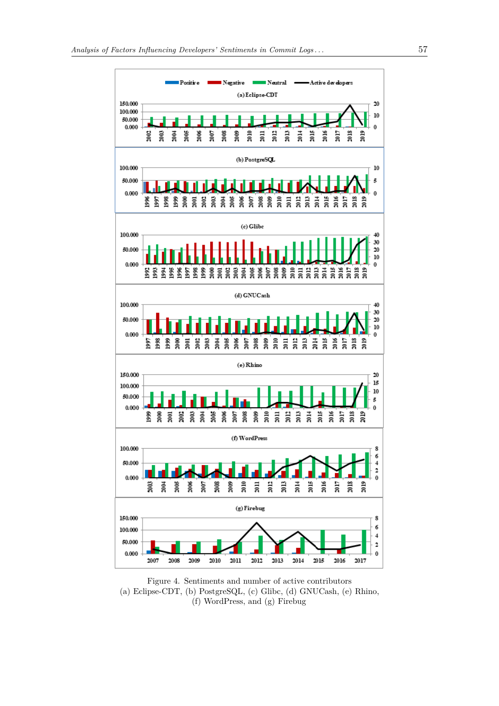

<span id="page-10-0"></span>Figure 4. Sentiments and number of active contributors (a) Eclipse-CDT, (b) PostgreSQL, (c) Glibc, (d) GNUCash, (e) Rhino, (f) WordPress, and (g) Firebug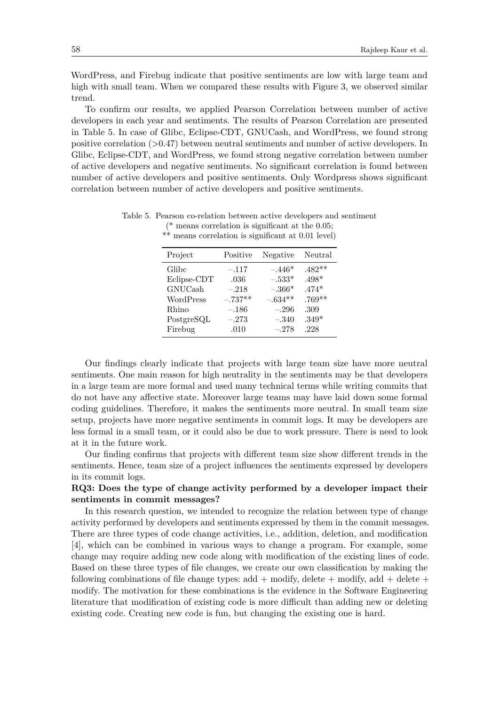WordPress, and Firebug indicate that positive sentiments are low with large team and high with small team. When we compared these results with Figure [3,](#page-9-1) we observed similar trend.

To confirm our results, we applied Pearson Correlation between number of active developers in each year and sentiments. The results of Pearson Correlation are presented in Table [5.](#page-11-0) In case of Glibc, Eclipse-CDT, GNUCash, and WordPress, we found strong positive correlation  $(0.47)$  between neutral sentiments and number of active developers. In Glibc, Eclipse-CDT, and WordPress, we found strong negative correlation between number of active developers and negative sentiments. No significant correlation is found between number of active developers and positive sentiments. Only Wordpress shows significant correlation between number of active developers and positive sentiments.

| Project        | Positive  | Negative  | Neutral  |
|----------------|-----------|-----------|----------|
| Glibc          | $-.117$   | $-.446*$  | $.482**$ |
| Eclipse-CDT    | .036      | $-.533*$  | $.498^*$ |
| <b>GNUCash</b> | $-.218$   | $-.366*$  | $.474*$  |
| WordPress      | $-.737**$ | $-.634**$ | $.769**$ |
| Rhino          | $-.186$   | $-.296$   | .309     |
| PostgreSQL     | $-.273$   | $-.340$   | $.349*$  |
| Firebug        | .010      | $-.278$   | .228     |

<span id="page-11-0"></span>Table 5. Pearson co-relation between active developers and sentiment (\* means correlation is significant at the 0.05; \*\* means correlation is significant at 0.01 level)

Our findings clearly indicate that projects with large team size have more neutral sentiments. One main reason for high neutrality in the sentiments may be that developers in a large team are more formal and used many technical terms while writing commits that do not have any affective state. Moreover large teams may have laid down some formal coding guidelines. Therefore, it makes the sentiments more neutral. In small team size setup, projects have more negative sentiments in commit logs. It may be developers are less formal in a small team, or it could also be due to work pressure. There is need to look at it in the future work.

Our finding confirms that projects with different team size show different trends in the sentiments. Hence, team size of a project influences the sentiments expressed by developers in its commit logs.

## **RQ3: Does the type of change activity performed by a developer impact their sentiments in commit messages?**

In this research question, we intended to recognize the relation between type of change activity performed by developers and sentiments expressed by them in the commit messages. There are three types of code change activities, i.e., addition, deletion, and modification [\[4\]](#page-19-3), which can be combined in various ways to change a program. For example, some change may require adding new code along with modification of the existing lines of code. Based on these three types of file changes, we create our own classification by making the following combinations of file change types:  $add + modify$ , delete  $+ modify$ , add  $+ delete +$ modify. The motivation for these combinations is the evidence in the Software Engineering literature that modification of existing code is more difficult than adding new or deleting existing code. Creating new code is fun, but changing the existing one is hard.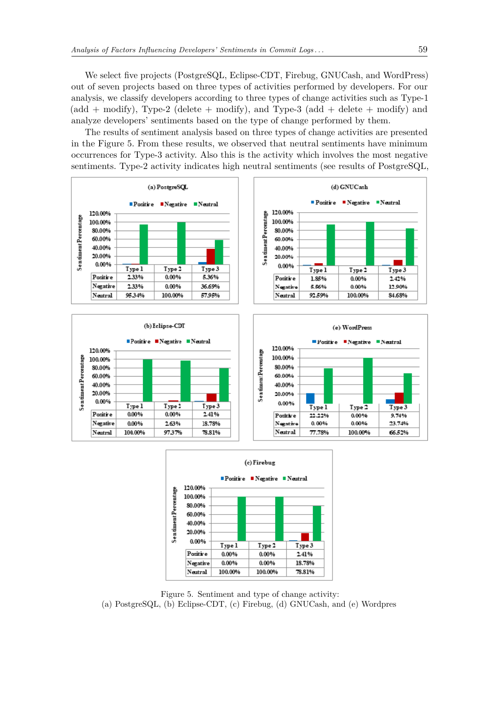We select five projects (PostgreSQL, Eclipse-CDT, Firebug, GNUCash, and WordPress) out of seven projects based on three types of activities performed by developers. For our analysis, we classify developers according to three types of change activities such as Type-1  $(\text{add } + \text{ modify})$ , Type-2 (delete  $+ \text{ modify}$ ), and Type-3 (add  $+ \text{ delete } + \text{ modify}$ ) and analyze developers' sentiments based on the type of change performed by them.

The results of sentiment analysis based on three types of change activities are presented in the Figure [5.](#page-12-0) From these results, we observed that neutral sentiments have minimum occurrences for Type-3 activity. Also this is the activity which involves the most negative sentiments. Type-2 activity indicates high neutral sentiments (see results of PostgreSQL,







<span id="page-12-0"></span>Figure 5. Sentiment and type of change activity: (a) PostgreSQL, (b) Eclipse-CDT, (c) Firebug, (d) GNUCash, and (e) Wordpres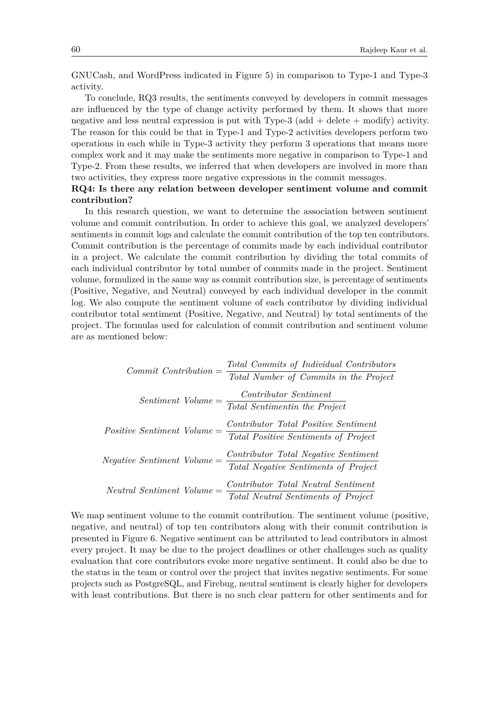GNUCash, and WordPress indicated in Figure [5\)](#page-12-0) in comparison to Type-1 and Type-3 activity.

To conclude, RQ3 results, the sentiments conveyed by developers in commit messages are influenced by the type of change activity performed by them. It shows that more negative and less neutral expression is put with Type-3 (add  $+$  delete  $+$  modify) activity. The reason for this could be that in Type-1 and Type-2 activities developers perform two operations in each while in Type-3 activity they perform 3 operations that means more complex work and it may make the sentiments more negative in comparison to Type-1 and Type-2. From these results, we inferred that when developers are involved in more than two activities, they express more negative expressions in the commit messages.

# **RQ4: Is there any relation between developer sentiment volume and commit contribution?**

In this research question, we want to determine the association between sentiment volume and commit contribution. In order to achieve this goal, we analyzed developers' sentiments in commit logs and calculate the commit contribution of the top ten contributors. Commit contribution is the percentage of commits made by each individual contributor in a project. We calculate the commit contribution by dividing the total commits of each individual contributor by total number of commits made in the project. Sentiment volume, formulized in the same way as commit contribution size, is percentage of sentiments (Positive, Negative, and Neutral) conveyed by each individual developer in the commit log. We also compute the sentiment volume of each contributor by dividing individual contributor total sentiment (Positive, Negative, and Neutral) by total sentiments of the project. The formulas used for calculation of commit contribution and sentiment volume are as mentioned below:

| $Commit\ Continution =$           | Total Commits of Individual Contributors<br>Total Number of Commits in the Project |
|-----------------------------------|------------------------------------------------------------------------------------|
| $Sentiment$ $Volume =$            | <i>Contributor Sentiment</i><br>Total Sentimentin the Project                      |
| $Positive\;Sentiment\;Volume =$   | Contributor Total Positive Sentiment<br>Total Positive Sentiments of Project       |
| $Negative\; Sentiment\; Volume =$ | Contributor Total Negative Sentiment<br>Total Negative Sentiments of Project       |
| $Neutral\ Sentiment\ Volume =$    | Contributor Total Neutral Sentiment<br>Total Neutral Sentiments of Project         |

We map sentiment volume to the commit contribution. The sentiment volume (positive, negative, and neutral) of top ten contributors along with their commit contribution is presented in Figure [6.](#page-15-0) Negative sentiment can be attributed to lead contributors in almost every project. It may be due to the project deadlines or other challenges such as quality evaluation that core contributors evoke more negative sentiment. It could also be due to the status in the team or control over the project that invites negative sentiments. For some projects such as PostgreSQL, and Firebug, neutral sentiment is clearly higher for developers with least contributions. But there is no such clear pattern for other sentiments and for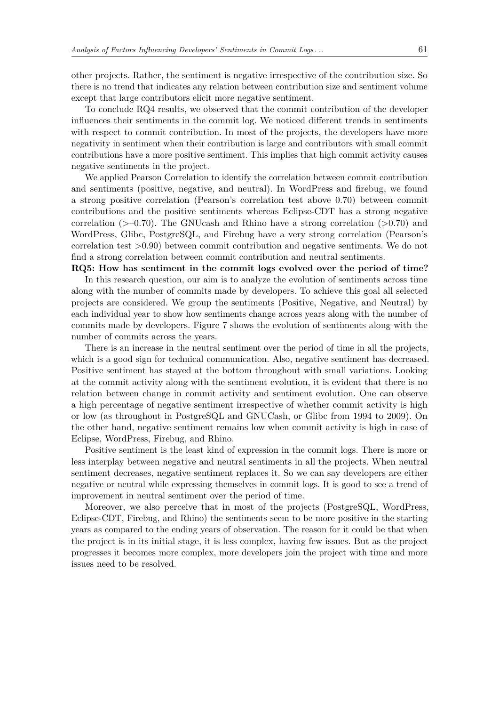other projects. Rather, the sentiment is negative irrespective of the contribution size. So there is no trend that indicates any relation between contribution size and sentiment volume except that large contributors elicit more negative sentiment.

To conclude RQ4 results, we observed that the commit contribution of the developer influences their sentiments in the commit log. We noticed different trends in sentiments with respect to commit contribution. In most of the projects, the developers have more negativity in sentiment when their contribution is large and contributors with small commit contributions have a more positive sentiment. This implies that high commit activity causes negative sentiments in the project.

We applied Pearson Correlation to identify the correlation between commit contribution and sentiments (positive, negative, and neutral). In WordPress and firebug, we found a strong positive correlation (Pearson's correlation test above 0.70) between commit contributions and the positive sentiments whereas Eclipse-CDT has a strong negative correlation  $(>=0.70)$ . The GNUcash and Rhino have a strong correlation  $(>=0.70)$  and WordPress, Glibc, PostgreSQL, and Firebug have a very strong correlation (Pearson's correlation test >0.90) between commit contribution and negative sentiments. We do not find a strong correlation between commit contribution and neutral sentiments.

**RQ5: How has sentiment in the commit logs evolved over the period of time?** In this research question, our aim is to analyze the evolution of sentiments across time along with the number of commits made by developers. To achieve this goal all selected projects are considered. We group the sentiments (Positive, Negative, and Neutral) by each individual year to show how sentiments change across years along with the number of commits made by developers. Figure [7](#page-16-0) shows the evolution of sentiments along with the number of commits across the years.

There is an increase in the neutral sentiment over the period of time in all the projects, which is a good sign for technical communication. Also, negative sentiment has decreased. Positive sentiment has stayed at the bottom throughout with small variations. Looking at the commit activity along with the sentiment evolution, it is evident that there is no relation between change in commit activity and sentiment evolution. One can observe a high percentage of negative sentiment irrespective of whether commit activity is high or low (as throughout in PostgreSQL and GNUCash, or Glibc from 1994 to 2009). On the other hand, negative sentiment remains low when commit activity is high in case of Eclipse, WordPress, Firebug, and Rhino.

Positive sentiment is the least kind of expression in the commit logs. There is more or less interplay between negative and neutral sentiments in all the projects. When neutral sentiment decreases, negative sentiment replaces it. So we can say developers are either negative or neutral while expressing themselves in commit logs. It is good to see a trend of improvement in neutral sentiment over the period of time.

Moreover, we also perceive that in most of the projects (PostgreSQL, WordPress, Eclipse-CDT, Firebug, and Rhino) the sentiments seem to be more positive in the starting years as compared to the ending years of observation. The reason for it could be that when the project is in its initial stage, it is less complex, having few issues. But as the project progresses it becomes more complex, more developers join the project with time and more issues need to be resolved.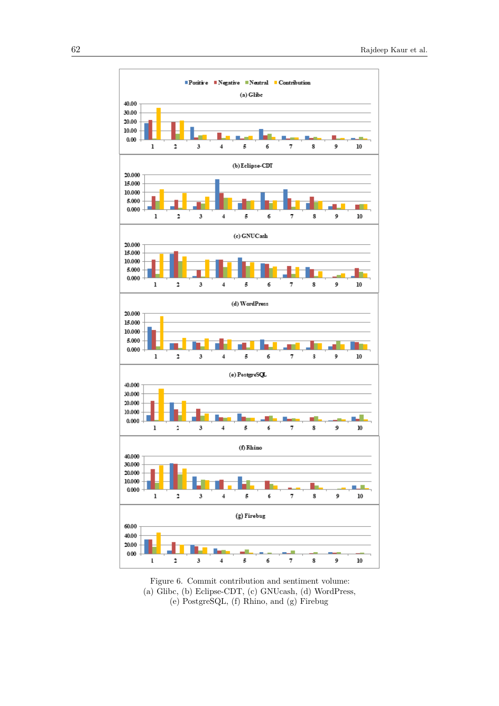

<span id="page-15-0"></span>Figure 6. Commit contribution and sentiment volume: (a) Glibc, (b) Eclipse-CDT, (c) GNUcash, (d) WordPress, (e) PostgreSQL, (f) Rhino, and (g) Firebug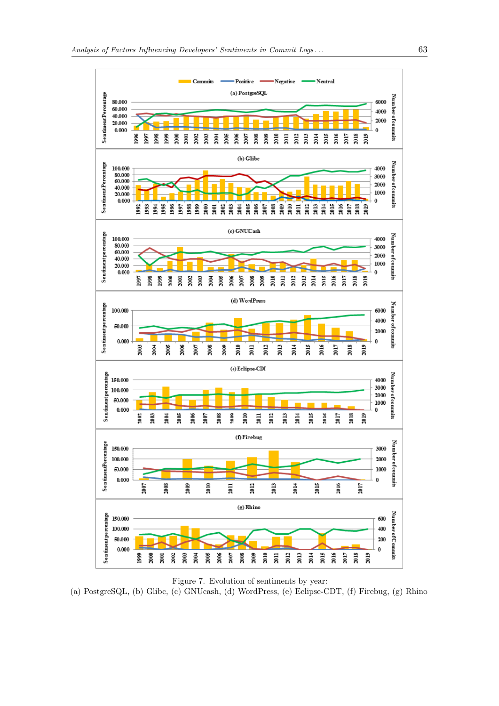

<span id="page-16-0"></span>Figure 7. Evolution of sentiments by year: (a) PostgreSQL, (b) Glibc, (c) GNUcash, (d) WordPress, (e) Eclipse-CDT, (f) Firebug, (g) Rhino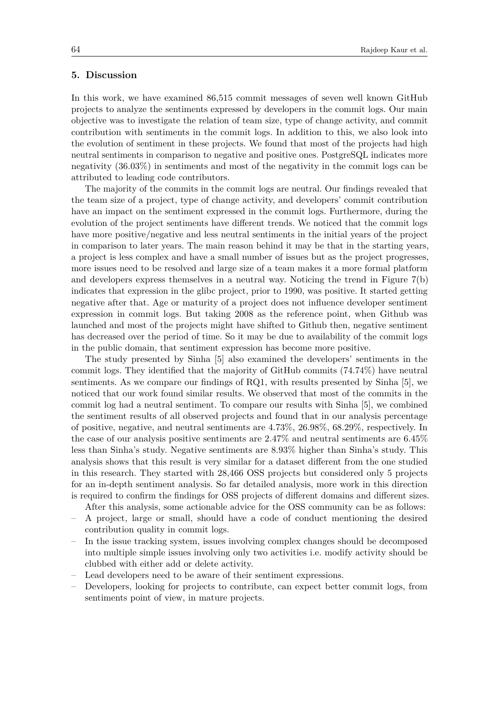## <span id="page-17-0"></span>**5. Discussion**

In this work, we have examined 86,515 commit messages of seven well known GitHub projects to analyze the sentiments expressed by developers in the commit logs. Our main objective was to investigate the relation of team size, type of change activity, and commit contribution with sentiments in the commit logs. In addition to this, we also look into the evolution of sentiment in these projects. We found that most of the projects had high neutral sentiments in comparison to negative and positive ones. PostgreSQL indicates more negativity (36.03%) in sentiments and most of the negativity in the commit logs can be attributed to leading code contributors.

The majority of the commits in the commit logs are neutral. Our findings revealed that the team size of a project, type of change activity, and developers' commit contribution have an impact on the sentiment expressed in the commit logs. Furthermore, during the evolution of the project sentiments have different trends. We noticed that the commit logs have more positive/negative and less neutral sentiments in the initial years of the project in comparison to later years. The main reason behind it may be that in the starting years, a project is less complex and have a small number of issues but as the project progresses, more issues need to be resolved and large size of a team makes it a more formal platform and developers express themselves in a neutral way. Noticing the trend in Figure [7\(](#page-16-0)b) indicates that expression in the glibc project, prior to 1990, was positive. It started getting negative after that. Age or maturity of a project does not influence developer sentiment expression in commit logs. But taking 2008 as the reference point, when Github was launched and most of the projects might have shifted to Github then, negative sentiment has decreased over the period of time. So it may be due to availability of the commit logs in the public domain, that sentiment expression has become more positive.

The study presented by Sinha [\[5\]](#page-19-6) also examined the developers' sentiments in the commit logs. They identified that the majority of GitHub commits (74.74%) have neutral sentiments. As we compare our findings of RQ1, with results presented by Sinha [\[5\]](#page-19-6), we noticed that our work found similar results. We observed that most of the commits in the commit log had a neutral sentiment. To compare our results with Sinha [\[5\]](#page-19-6), we combined the sentiment results of all observed projects and found that in our analysis percentage of positive, negative, and neutral sentiments are 4.73%, 26.98%, 68.29%, respectively. In the case of our analysis positive sentiments are 2.47% and neutral sentiments are 6.45% less than Sinha's study. Negative sentiments are 8.93% higher than Sinha's study. This analysis shows that this result is very similar for a dataset different from the one studied in this research. They started with 28,466 OSS projects but considered only 5 projects for an in-depth sentiment analysis. So far detailed analysis, more work in this direction is required to confirm the findings for OSS projects of different domains and different sizes.

After this analysis, some actionable advice for the OSS community can be as follows:

- A project, large or small, should have a code of conduct mentioning the desired contribution quality in commit logs.
- In the issue tracking system, issues involving complex changes should be decomposed into multiple simple issues involving only two activities i.e. modify activity should be clubbed with either add or delete activity.
- Lead developers need to be aware of their sentiment expressions.
- Developers, looking for projects to contribute, can expect better commit logs, from sentiments point of view, in mature projects.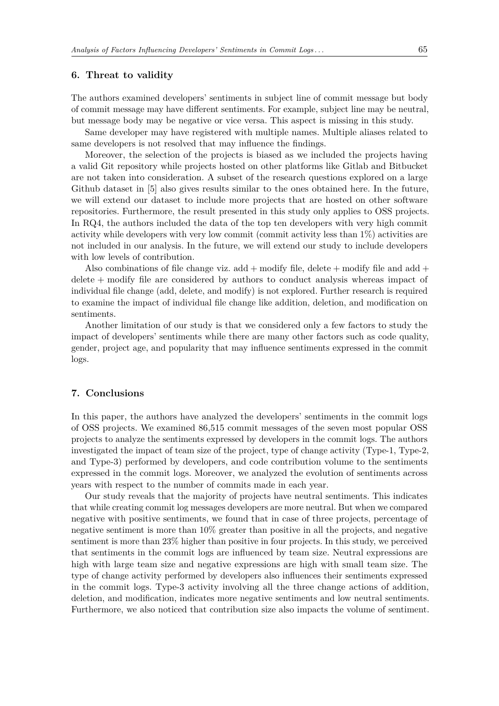#### <span id="page-18-0"></span>**6. Threat to validity**

The authors examined developers' sentiments in subject line of commit message but body of commit message may have different sentiments. For example, subject line may be neutral, but message body may be negative or vice versa. This aspect is missing in this study.

Same developer may have registered with multiple names. Multiple aliases related to same developers is not resolved that may influence the findings.

Moreover, the selection of the projects is biased as we included the projects having a valid Git repository while projects hosted on other platforms like Gitlab and Bitbucket are not taken into consideration. A subset of the research questions explored on a large Github dataset in [\[5\]](#page-19-6) also gives results similar to the ones obtained here. In the future, we will extend our dataset to include more projects that are hosted on other software repositories. Furthermore, the result presented in this study only applies to OSS projects. In RQ4, the authors included the data of the top ten developers with very high commit activity while developers with very low commit (commit activity less than 1%) activities are not included in our analysis. In the future, we will extend our study to include developers with low levels of contribution.

Also combinations of file change viz. add  $+$  modify file, delete  $+$  modify file and add  $+$ delete + modify file are considered by authors to conduct analysis whereas impact of individual file change (add, delete, and modify) is not explored. Further research is required to examine the impact of individual file change like addition, deletion, and modification on sentiments.

Another limitation of our study is that we considered only a few factors to study the impact of developers' sentiments while there are many other factors such as code quality, gender, project age, and popularity that may influence sentiments expressed in the commit logs.

#### <span id="page-18-1"></span>**7. Conclusions**

In this paper, the authors have analyzed the developers' sentiments in the commit logs of OSS projects. We examined 86,515 commit messages of the seven most popular OSS projects to analyze the sentiments expressed by developers in the commit logs. The authors investigated the impact of team size of the project, type of change activity (Type-1, Type-2, and Type-3) performed by developers, and code contribution volume to the sentiments expressed in the commit logs. Moreover, we analyzed the evolution of sentiments across years with respect to the number of commits made in each year.

Our study reveals that the majority of projects have neutral sentiments. This indicates that while creating commit log messages developers are more neutral. But when we compared negative with positive sentiments, we found that in case of three projects, percentage of negative sentiment is more than 10% greater than positive in all the projects, and negative sentiment is more than 23% higher than positive in four projects. In this study, we perceived that sentiments in the commit logs are influenced by team size. Neutral expressions are high with large team size and negative expressions are high with small team size. The type of change activity performed by developers also influences their sentiments expressed in the commit logs. Type-3 activity involving all the three change actions of addition, deletion, and modification, indicates more negative sentiments and low neutral sentiments. Furthermore, we also noticed that contribution size also impacts the volume of sentiment.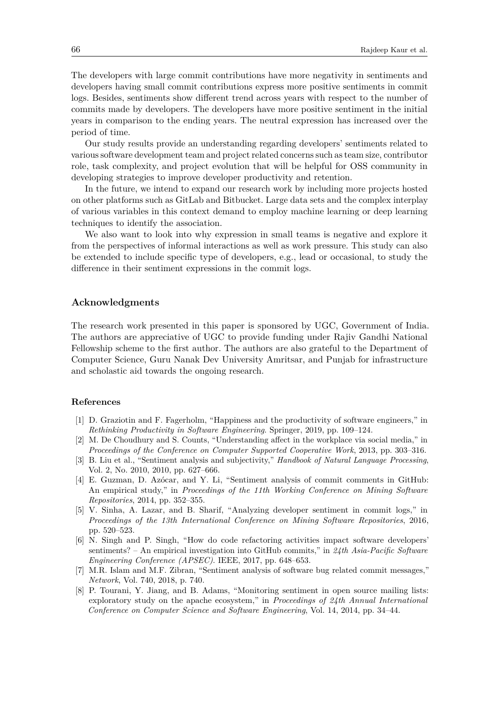The developers with large commit contributions have more negativity in sentiments and developers having small commit contributions express more positive sentiments in commit logs. Besides, sentiments show different trend across years with respect to the number of commits made by developers. The developers have more positive sentiment in the initial years in comparison to the ending years. The neutral expression has increased over the period of time.

Our study results provide an understanding regarding developers' sentiments related to various software development team and project related concerns such as team size, contributor role, task complexity, and project evolution that will be helpful for OSS community in developing strategies to improve developer productivity and retention.

In the future, we intend to expand our research work by including more projects hosted on other platforms such as GitLab and Bitbucket. Large data sets and the complex interplay of various variables in this context demand to employ machine learning or deep learning techniques to identify the association.

We also want to look into why expression in small teams is negative and explore it from the perspectives of informal interactions as well as work pressure. This study can also be extended to include specific type of developers, e.g., lead or occasional, to study the difference in their sentiment expressions in the commit logs.

#### **Acknowledgments**

The research work presented in this paper is sponsored by UGC, Government of India. The authors are appreciative of UGC to provide funding under Rajiv Gandhi National Fellowship scheme to the first author. The authors are also grateful to the Department of Computer Science, Guru Nanak Dev University Amritsar, and Punjab for infrastructure and scholastic aid towards the ongoing research.

#### **References**

- <span id="page-19-0"></span>[1] D. Graziotin and F. Fagerholm, "Happiness and the productivity of software engineers," in *Rethinking Productivity in Software Engineering*. Springer, 2019, pp. 109–124.
- <span id="page-19-1"></span>[2] M. De Choudhury and S. Counts, "Understanding affect in the workplace via social media," in *Proceedings of the Conference on Computer Supported Cooperative Work*, 2013, pp. 303–316.
- <span id="page-19-2"></span>[3] B. Liu et al., "Sentiment analysis and subjectivity," *Handbook of Natural Language Processing*, Vol. 2, No. 2010, 2010, pp. 627–666.
- <span id="page-19-3"></span>[4] E. Guzman, D. Azócar, and Y. Li, "Sentiment analysis of commit comments in GitHub: An empirical study," in *Proceedings of the 11th Working Conference on Mining Software Repositories*, 2014, pp. 352–355.
- <span id="page-19-6"></span>[5] V. Sinha, A. Lazar, and B. Sharif, "Analyzing developer sentiment in commit logs," in *Proceedings of the 13th International Conference on Mining Software Repositories*, 2016, pp. 520–523.
- [6] N. Singh and P. Singh, "How do code refactoring activities impact software developers' sentiments? – An empirical investigation into GitHub commits," in *24th Asia-Pacific Software Engineering Conference (APSEC)*. IEEE, 2017, pp. 648–653.
- <span id="page-19-4"></span>[7] M.R. Islam and M.F. Zibran, "Sentiment analysis of software bug related commit messages," *Network*, Vol. 740, 2018, p. 740.
- <span id="page-19-5"></span>[8] P. Tourani, Y. Jiang, and B. Adams, "Monitoring sentiment in open source mailing lists: exploratory study on the apache ecosystem," in *Proceedings of 24th Annual International Conference on Computer Science and Software Engineering*, Vol. 14, 2014, pp. 34–44.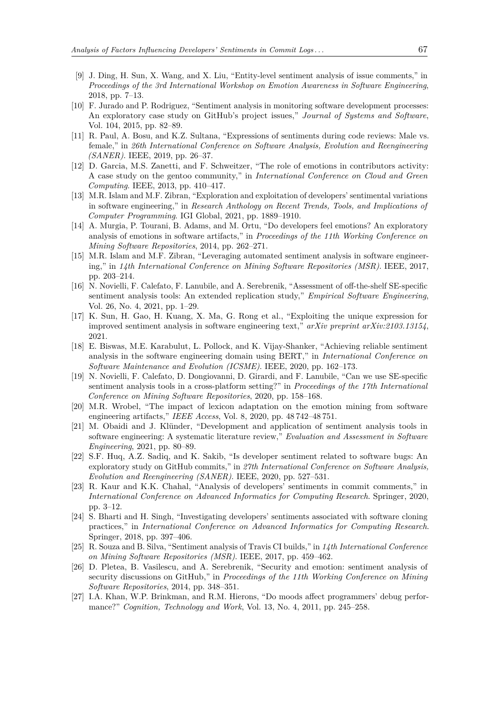- <span id="page-20-0"></span>[9] J. Ding, H. Sun, X. Wang, and X. Liu, "Entity-level sentiment analysis of issue comments," in *Proceedings of the 3rd International Workshop on Emotion Awareness in Software Engineering*, 2018, pp. 7–13.
- <span id="page-20-1"></span>[10] F. Jurado and P. Rodriguez, "Sentiment analysis in monitoring software development processes: An exploratory case study on GitHub's project issues," *Journal of Systems and Software*, Vol. 104, 2015, pp. 82–89.
- <span id="page-20-2"></span>[11] R. Paul, A. Bosu, and K.Z. Sultana, "Expressions of sentiments during code reviews: Male vs. female," in *26th International Conference on Software Analysis, Evolution and Reengineering (SANER)*. IEEE, 2019, pp. 26–37.
- <span id="page-20-3"></span>[12] D. Garcia, M.S. Zanetti, and F. Schweitzer, "The role of emotions in contributors activity: A case study on the gentoo community," in *International Conference on Cloud and Green Computing*. IEEE, 2013, pp. 410–417.
- <span id="page-20-4"></span>[13] M.R. Islam and M.F. Zibran, "Exploration and exploitation of developers' sentimental variations in software engineering," in *Research Anthology on Recent Trends, Tools, and Implications of Computer Programming*. IGI Global, 2021, pp. 1889–1910.
- <span id="page-20-5"></span>[14] A. Murgia, P. Tourani, B. Adams, and M. Ortu, "Do developers feel emotions? An exploratory analysis of emotions in software artifacts," in *Proceedings of the 11th Working Conference on Mining Software Repositories*, 2014, pp. 262–271.
- <span id="page-20-6"></span>[15] M.R. Islam and M.F. Zibran, "Leveraging automated sentiment analysis in software engineering," in *14th International Conference on Mining Software Repositories (MSR)*. IEEE, 2017, pp. 203–214.
- <span id="page-20-7"></span>[16] N. Novielli, F. Calefato, F. Lanubile, and A. Serebrenik, "Assessment of off-the-shelf SE-specific sentiment analysis tools: An extended replication study," *Empirical Software Engineering*, Vol. 26, No. 4, 2021, pp. 1–29.
- <span id="page-20-8"></span>[17] K. Sun, H. Gao, H. Kuang, X. Ma, G. Rong et al., "Exploiting the unique expression for improved sentiment analysis in software engineering text," *arXiv preprint arXiv:2103.13154*, 2021.
- <span id="page-20-9"></span>[18] E. Biswas, M.E. Karabulut, L. Pollock, and K. Vijay-Shanker, "Achieving reliable sentiment analysis in the software engineering domain using BERT," in *International Conference on Software Maintenance and Evolution (ICSME)*. IEEE, 2020, pp. 162–173.
- <span id="page-20-10"></span>[19] N. Novielli, F. Calefato, D. Dongiovanni, D. Girardi, and F. Lanubile, "Can we use SE-specific sentiment analysis tools in a cross-platform setting?" in *Proceedings of the 17th International Conference on Mining Software Repositories*, 2020, pp. 158–168.
- <span id="page-20-11"></span>[20] M.R. Wrobel, "The impact of lexicon adaptation on the emotion mining from software engineering artifacts," *IEEE Access*, Vol. 8, 2020, pp. 48 742–48 751.
- <span id="page-20-12"></span>[21] M. Obaidi and J. Klünder, "Development and application of sentiment analysis tools in software engineering: A systematic literature review," *Evaluation and Assessment in Software Engineering*, 2021, pp. 80–89.
- <span id="page-20-13"></span>[22] S.F. Huq, A.Z. Sadiq, and K. Sakib, "Is developer sentiment related to software bugs: An exploratory study on GitHub commits," in *27th International Conference on Software Analysis, Evolution and Reengineering (SANER)*. IEEE, 2020, pp. 527–531.
- <span id="page-20-14"></span>[23] R. Kaur and K.K. Chahal, "Analysis of developers' sentiments in commit comments," in *International Conference on Advanced Informatics for Computing Research*. Springer, 2020, pp. 3–12.
- <span id="page-20-15"></span>[24] S. Bharti and H. Singh, "Investigating developers' sentiments associated with software cloning practices," in *International Conference on Advanced Informatics for Computing Research*. Springer, 2018, pp. 397–406.
- <span id="page-20-16"></span>[25] R. Souza and B. Silva, "Sentiment analysis of Travis CI builds," in *14th International Conference on Mining Software Repositories (MSR)*. IEEE, 2017, pp. 459–462.
- <span id="page-20-17"></span>[26] D. Pletea, B. Vasilescu, and A. Serebrenik, "Security and emotion: sentiment analysis of security discussions on GitHub," in *Proceedings of the 11th Working Conference on Mining Software Repositories*, 2014, pp. 348–351.
- <span id="page-20-18"></span>[27] I.A. Khan, W.P. Brinkman, and R.M. Hierons, "Do moods affect programmers' debug performance?" *Cognition, Technology and Work*, Vol. 13, No. 4, 2011, pp. 245–258.